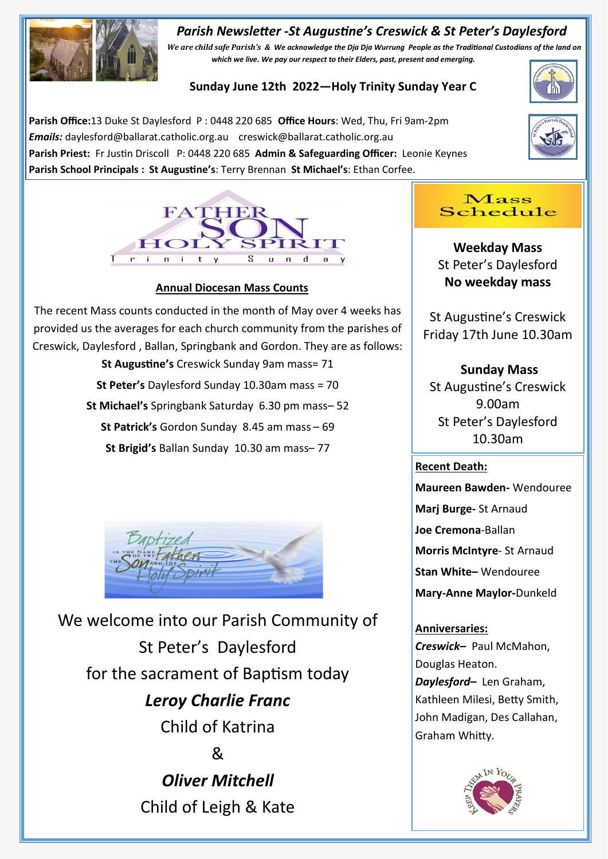## *Parish Newsletter -St Augustine's Creswick & St Peter's Daylesford*



*We are child safe Parish's & We acknowledge the Dja Dja Wurrung People as the Traditional Custodians of the land on which we live. We pay our respect to their Elders, past, present and emerging.* 

## **Sunday June 12th 2022—Holy Trinity Sunday Year C**

**Parish Office:**13 Duke St Daylesford P : 0448 220 685 **Office Hours**: Wed, Thu, Fri 9am-2pm *Emails:* daylesford@ballarat.catholic.org.au creswick@ballarat.catholic.org.au **Parish Priest:** Fr Justin Driscoll P: 0448 220 685 **Admin & Safeguarding Officer:** Leonie Keynes **Parish School Principals : St Augustine's**: Terry Brennan **St Michael's**: Ethan Corfee.







#### **Annual Diocesan Mass Counts**

The recent Mass counts conducted in the month of May over 4 weeks has provided us the averages for each church community from the parishes of Creswick, Daylesford , Ballan, Springbank and Gordon. They are as follows:

> **St Augustine's** Creswick Sunday 9am mass= 71 **St Peter's** Daylesford Sunday 10.30am mass = 70 **St Michael's** Springbank Saturday 6.30 pm mass– 52 **St Patrick's** Gordon Sunday 8.45 am mass – 69 **St Brigid's** Ballan Sunday 10.30 am mass– 77



We welcome into our Parish Community of St Peter's Daylesford for the sacrament of Baptism today *Leroy Charlie Franc* Child of Katrina & *Oliver Mitchell* Child of Leigh & Kate

## Mass Schedule

**Weekday Mass** St Peter's Daylesford **No weekday mass** 

St Augustine's Creswick Friday 17th June 10.30am

**Sunday Mass** St Augustine's Creswick 9.00am St Peter's Daylesford 10.30am

#### **Recent Death:**

**Maureen Bawden-** Wendouree **Marj Burge-** St Arnaud **Joe Cremona**-Ballan **Morris McIntyre**- St Arnaud **Stan White–** Wendouree

**Mary-Anne Maylor-**Dunkeld

**Anniversaries:**  *Creswick–* Paul McMahon, Douglas Heaton. *Daylesford–* Len Graham, Kathleen Milesi, Betty Smith, John Madigan, Des Callahan, Graham Whitty.